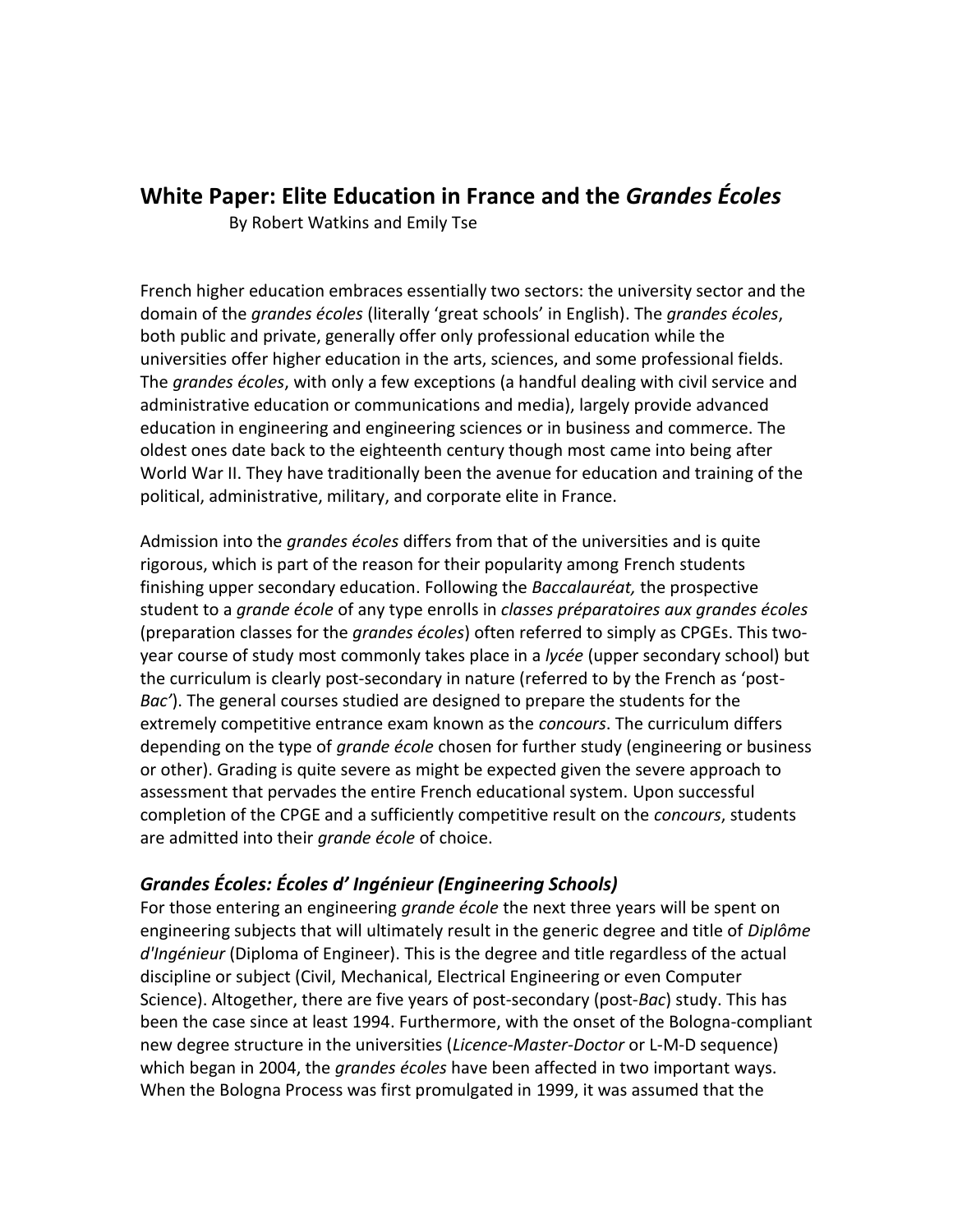# **White Paper: Elite Education in France and the** *Grandes Écoles*

By Robert Watkins and Emily Tse

French higher education embraces essentially two sectors: the university sector and the domain of the *grandes écoles* (literally 'great schools' in English). The *grandes écoles*, both public and private, generally offer only professional education while the universities offer higher education in the arts, sciences, and some professional fields. The *grandes écoles*, with only a few exceptions (a handful dealing with civil service and administrative education or communications and media), largely provide advanced education in engineering and engineering sciences or in business and commerce. The oldest ones date back to the eighteenth century though most came into being after World War II. They have traditionally been the avenue for education and training of the political, administrative, military, and corporate elite in France.

Admission into the *grandes écoles* differs from that of the universities and is quite rigorous, which is part of the reason for their popularity among French students finishing upper secondary education. Following the *Baccalauréat,* the prospective student to a *grande école* of any type enrolls in *classes préparatoires aux grandes écoles* (preparation classes for the *grandes écoles*) often referred to simply as CPGEs. This twoyear course of study most commonly takes place in a *lycée* (upper secondary school) but the curriculum is clearly post-secondary in nature (referred to by the French as 'post-*Bac'*). The general courses studied are designed to prepare the students for the extremely competitive entrance exam known as the *concours*. The curriculum differs depending on the type of *grande école* chosen for further study (engineering or business or other). Grading is quite severe as might be expected given the severe approach to assessment that pervades the entire French educational system. Upon successful completion of the CPGE and a sufficiently competitive result on the *concours*, students are admitted into their *grande école* of choice.

## *Grandes Écoles: Écoles d' Ingénieur (Engineering Schools)*

For those entering an engineering *grande école* the next three years will be spent on engineering subjects that will ultimately result in the generic degree and title of *Diplôme d'Ingénieur* (Diploma of Engineer). This is the degree and title regardless of the actual discipline or subject (Civil, Mechanical, Electrical Engineering or even Computer Science). Altogether, there are five years of post-secondary (post-*Bac*) study. This has been the case since at least 1994. Furthermore, with the onset of the Bologna-compliant new degree structure in the universities (*Licence-Master-Doctor* or L-M-D sequence) which began in 2004, the *grandes écoles* have been affected in two important ways. When the Bologna Process was first promulgated in 1999, it was assumed that the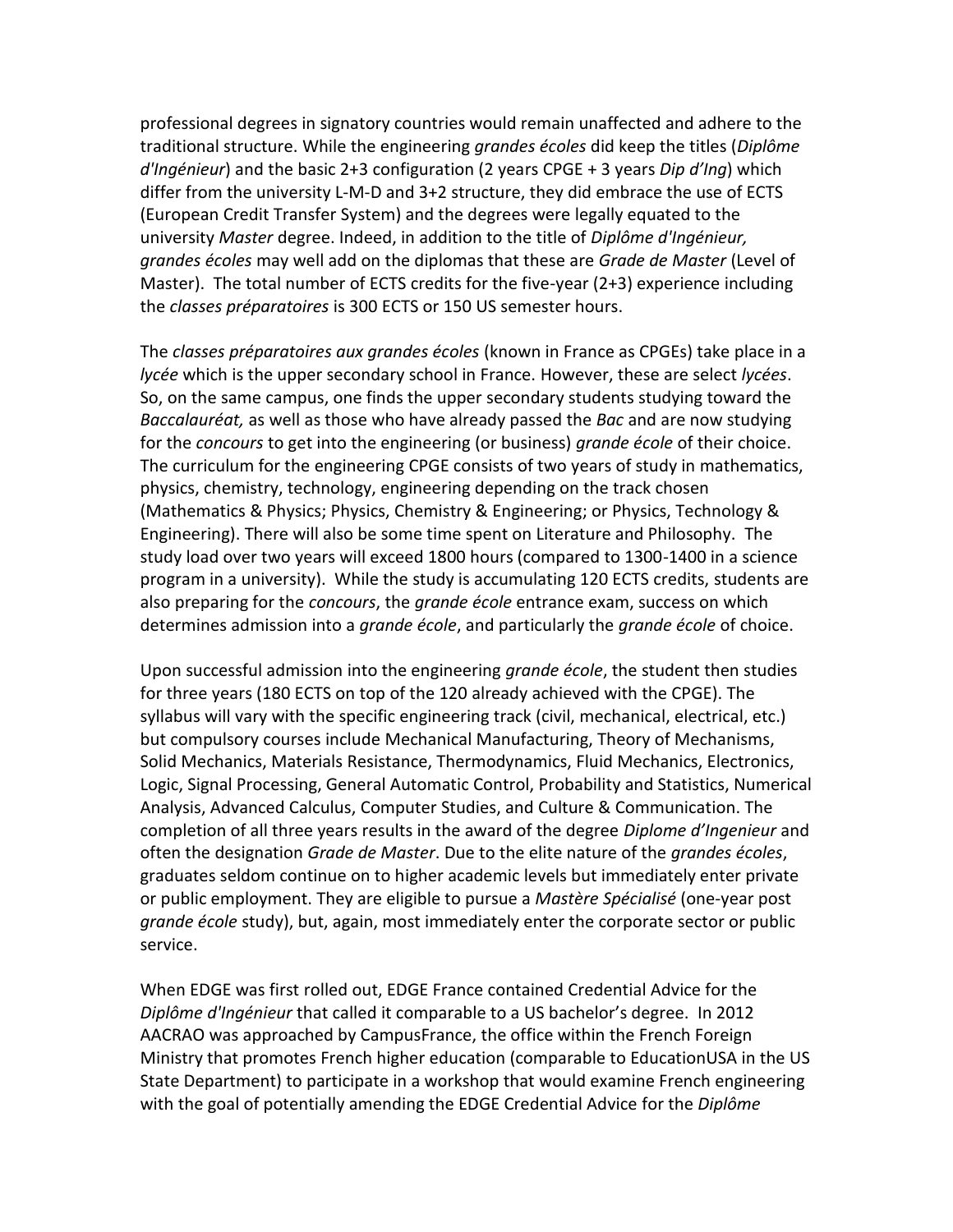professional degrees in signatory countries would remain unaffected and adhere to the traditional structure. While the engineering *grandes écoles* did keep the titles (*Diplôme d'Ingénieur*) and the basic 2+3 configuration (2 years CPGE + 3 years *Dip d'Ing*) which differ from the university L-M-D and 3+2 structure, they did embrace the use of ECTS (European Credit Transfer System) and the degrees were legally equated to the university *Master* degree. Indeed, in addition to the title of *Diplôme d'Ingénieur, grandes écoles* may well add on the diplomas that these are *Grade de Master* (Level of Master). The total number of ECTS credits for the five-year (2+3) experience including the *classes préparatoires* is 300 ECTS or 150 US semester hours.

The *classes préparatoires aux grandes écoles* (known in France as CPGEs) take place in a *lycée* which is the upper secondary school in France. However, these are select *lycées*. So, on the same campus, one finds the upper secondary students studying toward the *Baccalauréat,* as well as those who have already passed the *Bac* and are now studying for the *concours* to get into the engineering (or business) *grande école* of their choice. The curriculum for the engineering CPGE consists of two years of study in mathematics, physics, chemistry, technology, engineering depending on the track chosen (Mathematics & Physics; Physics, Chemistry & Engineering; or Physics, Technology & Engineering). There will also be some time spent on Literature and Philosophy. The study load over two years will exceed 1800 hours (compared to 1300-1400 in a science program in a university). While the study is accumulating 120 ECTS credits, students are also preparing for the *concours*, the *grande école* entrance exam, success on which determines admission into a *grande école*, and particularly the *grande école* of choice.

Upon successful admission into the engineering *grande école*, the student then studies for three years (180 ECTS on top of the 120 already achieved with the CPGE). The syllabus will vary with the specific engineering track (civil, mechanical, electrical, etc.) but compulsory courses include Mechanical Manufacturing, Theory of Mechanisms, Solid Mechanics, Materials Resistance, Thermodynamics, Fluid Mechanics, Electronics, Logic, Signal Processing, General Automatic Control, Probability and Statistics, Numerical Analysis, Advanced Calculus, Computer Studies, and Culture & Communication. The completion of all three years results in the award of the degree *Diplome d'Ingenieur* and often the designation *Grade de Master*. Due to the elite nature of the *grandes écoles*, graduates seldom continue on to higher academic levels but immediately enter private or public employment. They are eligible to pursue a *Mastère Spécialisé* (one-year post *grande école* study), but, again, most immediately enter the corporate sector or public service.

When EDGE was first rolled out, EDGE France contained Credential Advice for the *Diplôme d'Ingénieur* that called it comparable to a US bachelor's degree. In 2012 AACRAO was approached by CampusFrance, the office within the French Foreign Ministry that promotes French higher education (comparable to EducationUSA in the US State Department) to participate in a workshop that would examine French engineering with the goal of potentially amending the EDGE Credential Advice for the *Diplôme*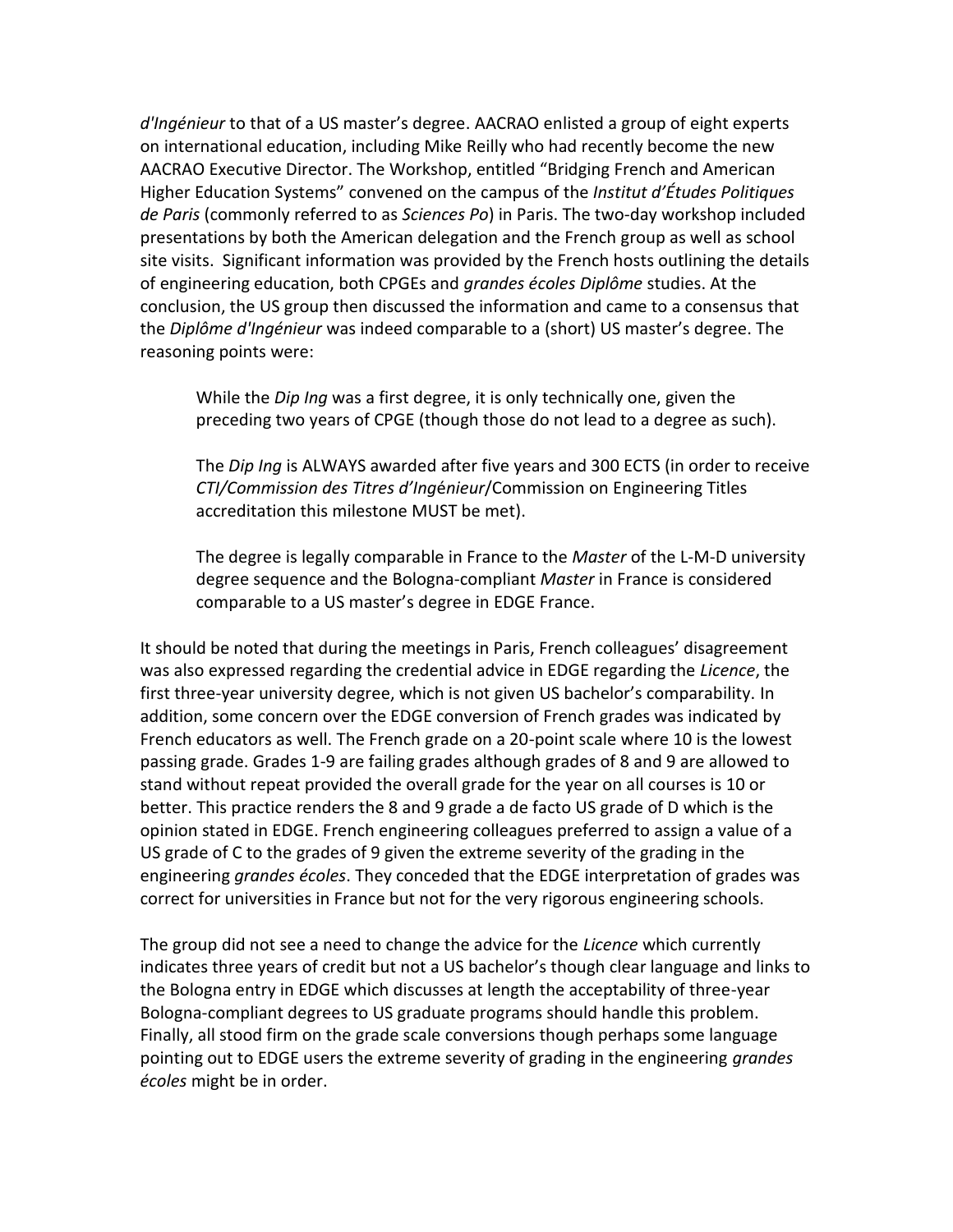*d'Ingénieur* to that of a US master's degree. AACRAO enlisted a group of eight experts on international education, including Mike Reilly who had recently become the new AACRAO Executive Director. The Workshop, entitled "Bridging French and American Higher Education Systems" convened on the campus of the *Institut d'Études Politiques de Paris* (commonly referred to as *Sciences Po*) in Paris. The two-day workshop included presentations by both the American delegation and the French group as well as school site visits. Significant information was provided by the French hosts outlining the details of engineering education, both CPGEs and *grandes écoles Diplôme* studies. At the conclusion, the US group then discussed the information and came to a consensus that the *Diplôme d'Ingénieur* was indeed comparable to a (short) US master's degree. The reasoning points were:

While the *Dip Ing* was a first degree, it is only technically one, given the preceding two years of CPGE (though those do not lead to a degree as such).

The *Dip Ing* is ALWAYS awarded after five years and 300 ECTS (in order to receive *CTI/Commission des Titres d'Ing*é*nieur*/Commission on Engineering Titles accreditation this milestone MUST be met).

The degree is legally comparable in France to the *Master* of the L-M-D university degree sequence and the Bologna-compliant *Master* in France is considered comparable to a US master's degree in EDGE France.

It should be noted that during the meetings in Paris, French colleagues' disagreement was also expressed regarding the credential advice in EDGE regarding the *Licence*, the first three-year university degree, which is not given US bachelor's comparability. In addition, some concern over the EDGE conversion of French grades was indicated by French educators as well. The French grade on a 20-point scale where 10 is the lowest passing grade. Grades 1-9 are failing grades although grades of 8 and 9 are allowed to stand without repeat provided the overall grade for the year on all courses is 10 or better. This practice renders the 8 and 9 grade a de facto US grade of D which is the opinion stated in EDGE. French engineering colleagues preferred to assign a value of a US grade of C to the grades of 9 given the extreme severity of the grading in the engineering *grandes écoles*. They conceded that the EDGE interpretation of grades was correct for universities in France but not for the very rigorous engineering schools.

The group did not see a need to change the advice for the *Licence* which currently indicates three years of credit but not a US bachelor's though clear language and links to the Bologna entry in EDGE which discusses at length the acceptability of three-year Bologna-compliant degrees to US graduate programs should handle this problem. Finally, all stood firm on the grade scale conversions though perhaps some language pointing out to EDGE users the extreme severity of grading in the engineering *grandes écoles* might be in order.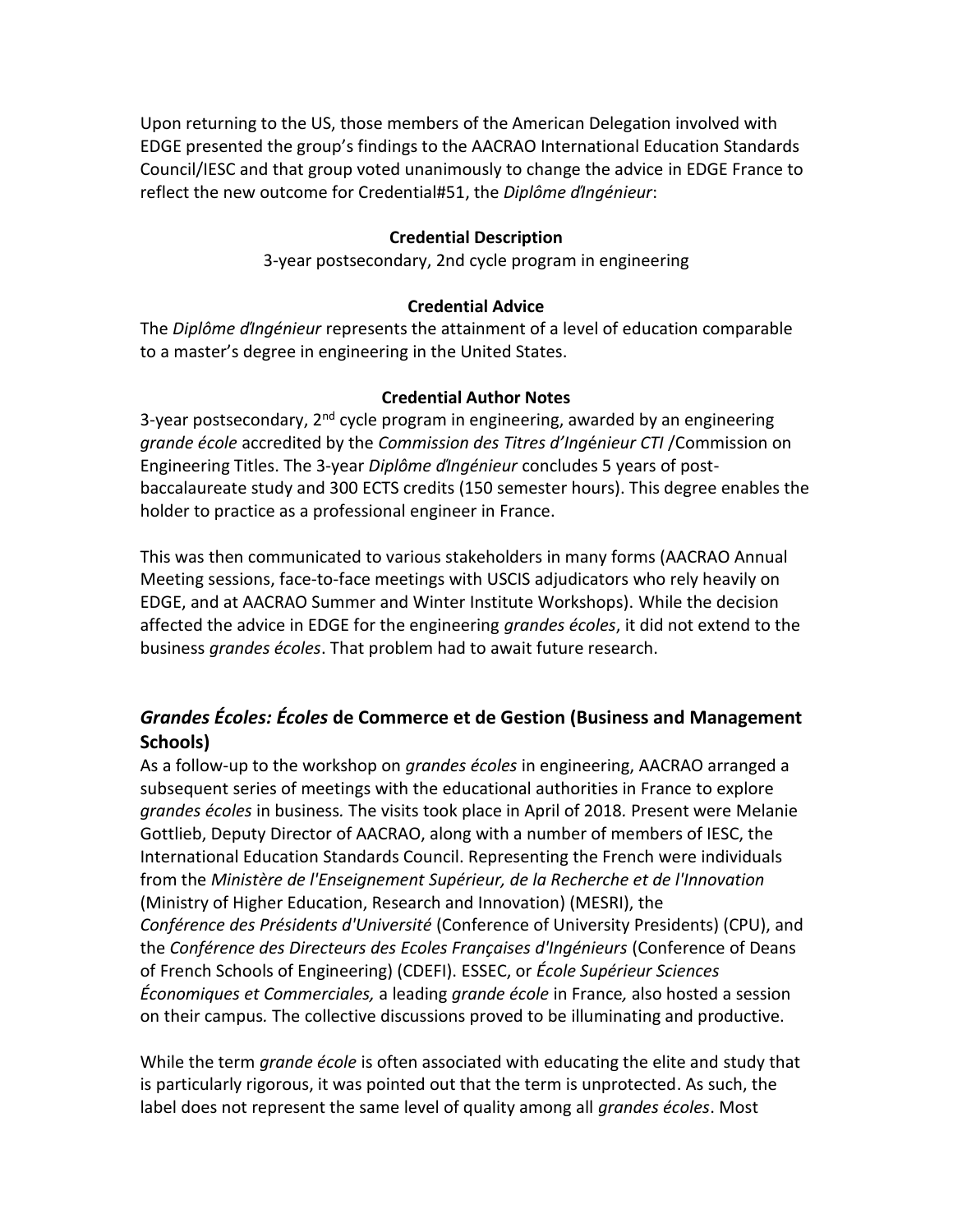Upon returning to the US, those members of the American Delegation involved with EDGE presented the group's findings to the AACRAO International Education Standards Council/IESC and that group voted unanimously to change the advice in EDGE France to reflect the new outcome for Credential#51, the *Diplôme ďIngénieur*:

#### **Credential Description**

3-year postsecondary, 2nd cycle program in engineering

#### **Credential Advice**

The *Diplôme ďIngénieur* represents the attainment of a level of education comparable to a master's degree in engineering in the United States.

#### **Credential Author Notes**

3-year postsecondary,  $2^{nd}$  cycle program in engineering, awarded by an engineering *grande école* accredited by the *Commission des Titres d'Ing*é*nieur CTI* /Commission on Engineering Titles. The 3-year *Diplôme ďIngénieur* concludes 5 years of postbaccalaureate study and 300 ECTS credits (150 semester hours). This degree enables the holder to practice as a professional engineer in France.

This was then communicated to various stakeholders in many forms (AACRAO Annual Meeting sessions, face-to-face meetings with USCIS adjudicators who rely heavily on EDGE, and at AACRAO Summer and Winter Institute Workshops). While the decision affected the advice in EDGE for the engineering *grandes écoles*, it did not extend to the business *grandes écoles*. That problem had to await future research.

# *Grandes Écoles: Écoles* **de Commerce et de Gestion (Business and Management Schools)**

As a follow-up to the workshop on *grandes écoles* in engineering, AACRAO arranged a subsequent series of meetings with the educational authorities in France to explore *grandes écoles* in business*.* The visits took place in April of 2018*.* Present were Melanie Gottlieb, Deputy Director of AACRAO, along with a number of members of IESC, the International Education Standards Council. Representing the French were individuals from the *Ministère de l'Enseignement Supérieur, de la Recherche et de l'Innovation* (Ministry of Higher Education, Research and Innovation) (MESRI), the *Conférence des Présidents d'Université* (Conference of University Presidents) (CPU), and the *Conférence des Directeurs des Ecoles Françaises d'Ingénieurs* (Conference of Deans of French Schools of Engineering) (CDEFI). ESSEC, or *École Supérieur Sciences Économiques et Commerciales,* a leading *grande école* in France*,* also hosted a session on their campus*.* The collective discussions proved to be illuminating and productive.

While the term *grande école* is often associated with educating the elite and study that is particularly rigorous, it was pointed out that the term is unprotected. As such, the label does not represent the same level of quality among all *grandes écoles*. Most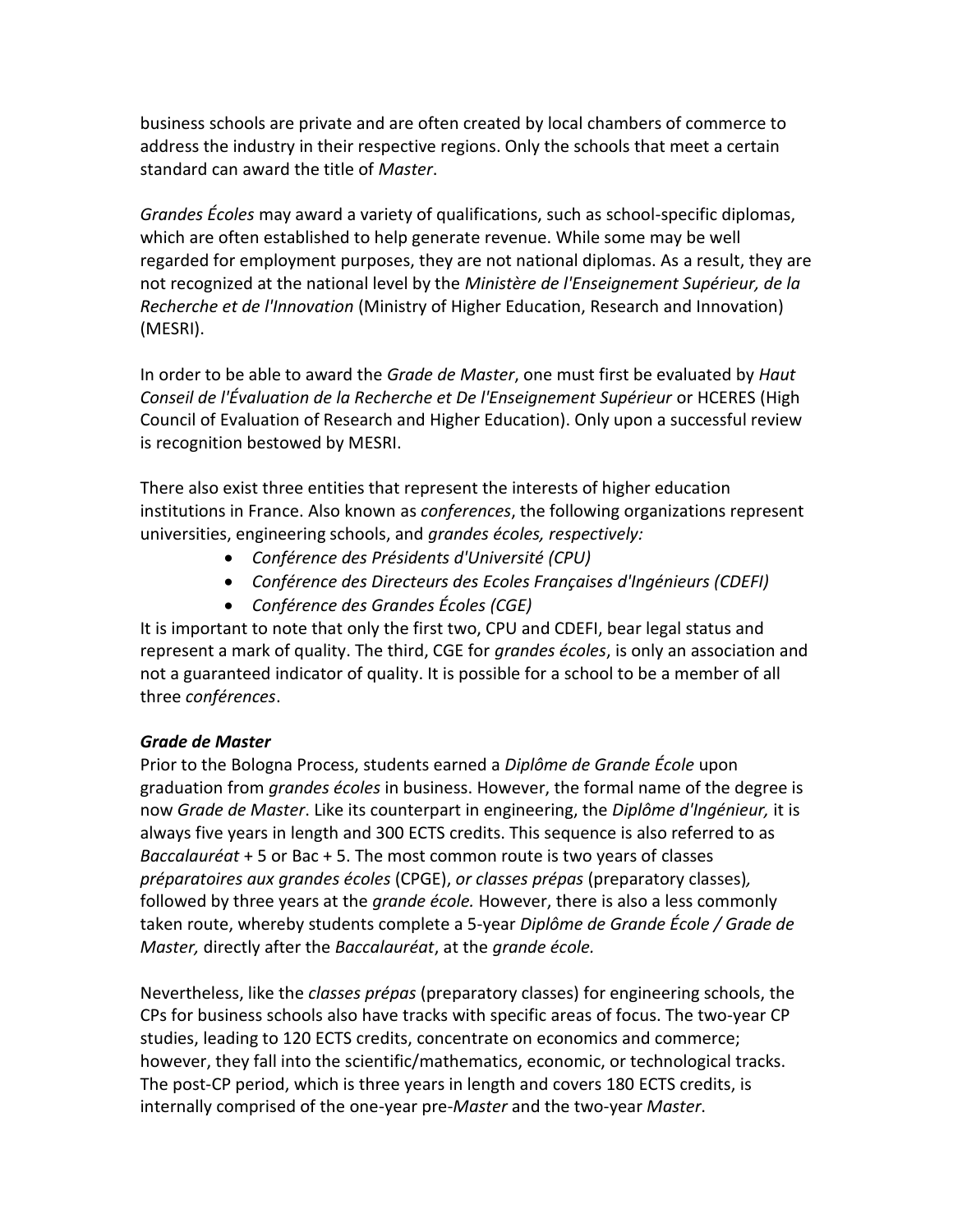business schools are private and are often created by local chambers of commerce to address the industry in their respective regions. Only the schools that meet a certain standard can award the title of *Master*.

*Grandes Écoles* may award a variety of qualifications, such as school-specific diplomas, which are often established to help generate revenue. While some may be well regarded for employment purposes, they are not national diplomas. As a result, they are not recognized at the national level by the *Ministère de l'Enseignement Supérieur, de la Recherche et de l'Innovation* (Ministry of Higher Education, Research and Innovation) (MESRI).

In order to be able to award the *Grade de Master*, one must first be evaluated by *Haut Conseil de l'Évaluation de la Recherche et De l'Enseignement Supérieur* or HCERES (High Council of Evaluation of Research and Higher Education). Only upon a successful review is recognition bestowed by MESRI.

There also exist three entities that represent the interests of higher education institutions in France. Also known as *conferences*, the following organizations represent universities, engineering schools, and *grandes écoles, respectively:*

- *Conférence des Présidents d'Université (CPU)*
- *Conférence des Directeurs des Ecoles Françaises d'Ingénieurs (CDEFI)*
- *Conférence des Grandes Écoles (CGE)*

It is important to note that only the first two, CPU and CDEFI, bear legal status and represent a mark of quality. The third, CGE for *grandes écoles*, is only an association and not a guaranteed indicator of quality. It is possible for a school to be a member of all three *conférences*.

## *Grade de Master*

Prior to the Bologna Process, students earned a *Diplôme de Grande École* upon graduation from *grandes écoles* in business. However, the formal name of the degree is now *Grade de Master*. Like its counterpart in engineering, the *Diplôme d'Ingénieur,* it is always five years in length and 300 ECTS credits. This sequence is also referred to as *Baccalauréat* + 5 or Bac + 5. The most common route is two years of classes *préparatoires aux grandes écoles* (CPGE), *or classes prépas* (preparatory classes)*,*  followed by three years at the *grande école.* However, there is also a less commonly taken route, whereby students complete a 5-year *Diplôme de Grande École / Grade de Master,* directly after the *Baccalauréat*, at the *grande école.*

Nevertheless, like the *classes prépas* (preparatory classes) for engineering schools, the CPs for business schools also have tracks with specific areas of focus. The two-year CP studies, leading to 120 ECTS credits, concentrate on economics and commerce; however, they fall into the scientific/mathematics, economic, or technological tracks. The post-CP period, which is three years in length and covers 180 ECTS credits, is internally comprised of the one-year pre-*Master* and the two-year *Master*.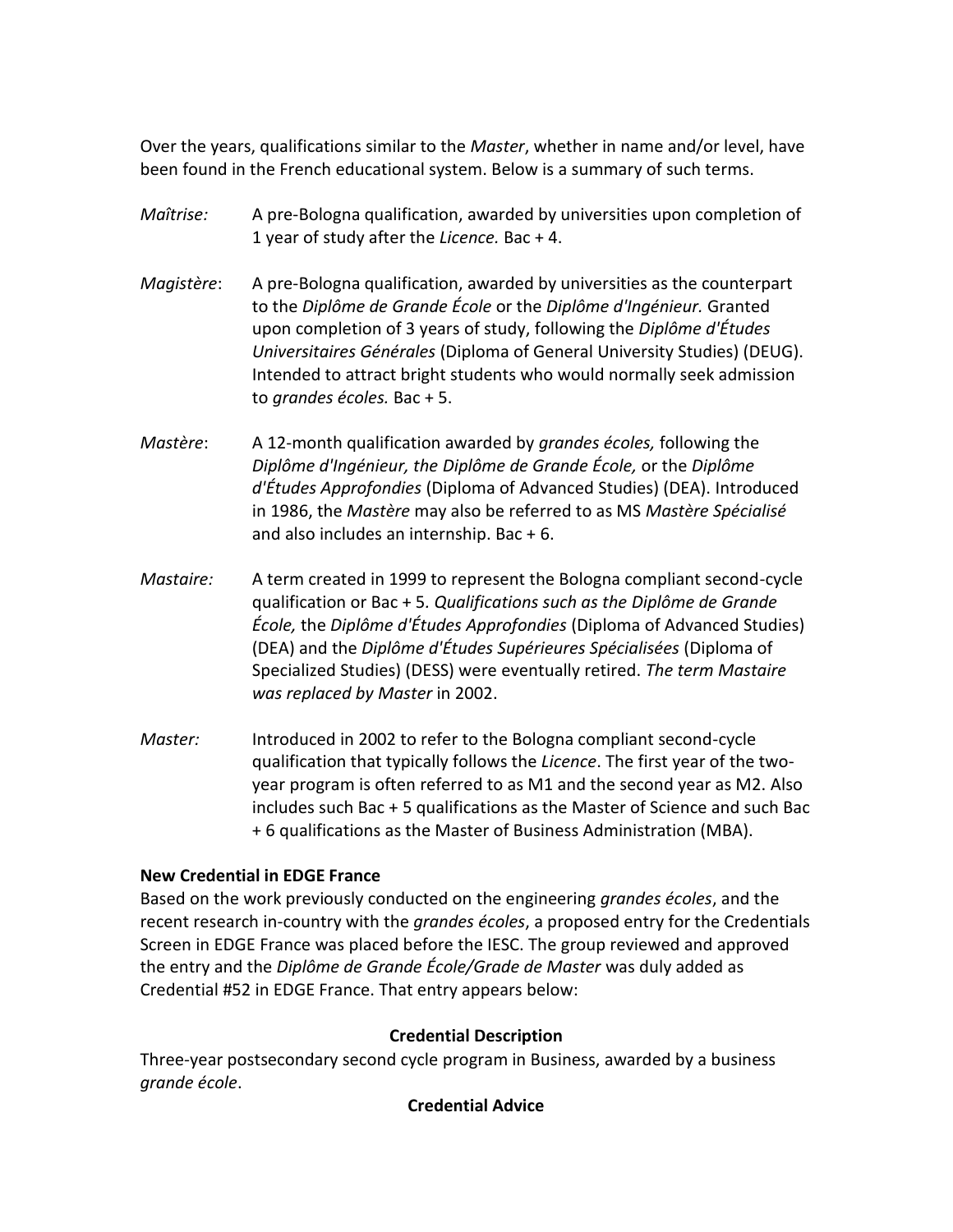Over the years, qualifications similar to the *Master*, whether in name and/or level, have been found in the French educational system. Below is a summary of such terms.

- *Maîtrise:* A pre-Bologna qualification, awarded by universities upon completion of 1 year of study after the *Licence.* Bac + 4.
- *Magistère*: A pre-Bologna qualification, awarded by universities as the counterpart to the *Diplôme de Grande École* or the *Diplôme d'Ingénieur.* Granted upon completion of 3 years of study, following the *Diplôme d'Études Universitaires Générales* (Diploma of General University Studies) (DEUG). Intended to attract bright students who would normally seek admission to *grandes écoles.* Bac + 5.
- *Mastère*: A 12-month qualification awarded by *grandes écoles,* following the *Diplôme d'Ingénieur, the Diplôme de Grande École,* or the *Diplôme d'Études Approfondies* (Diploma of Advanced Studies) (DEA). Introduced in 1986, the *Mastère* may also be referred to as MS *Mastère Spécialisé* and also includes an internship. Bac + 6.
- *Mastaire:* A term created in 1999 to represent the Bologna compliant second-cycle qualification or Bac + 5*. Qualifications such as the Diplôme de Grande École,* the *Diplôme d'Études Approfondies* (Diploma of Advanced Studies) (DEA) and the *Diplôme d'Études Supérieures Spécialisées* (Diploma of Specialized Studies) (DESS) were eventually retired. *The term Mastaire was replaced by Master* in 2002.
- *Master:* Introduced in 2002 to refer to the Bologna compliant second-cycle qualification that typically follows the *Licence*. The first year of the twoyear program is often referred to as M1 and the second year as M2. Also includes such Bac + 5 qualifications as the Master of Science and such Bac + 6 qualifications as the Master of Business Administration (MBA).

## **New Credential in EDGE France**

Based on the work previously conducted on the engineering *grandes écoles*, and the recent research in-country with the *grandes écoles*, a proposed entry for the Credentials Screen in EDGE France was placed before the IESC. The group reviewed and approved the entry and the *Diplôme de Grande École/Grade de Master* was duly added as Credential #52 in EDGE France. That entry appears below:

## **Credential Description**

Three-year postsecondary second cycle program in Business, awarded by a business *grande école*.

## **Credential Advice**